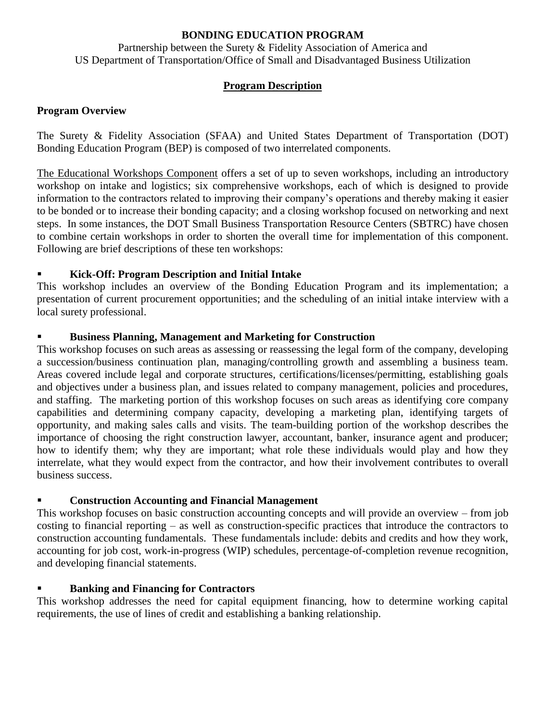#### **BONDING EDUCATION PROGRAM**

Partnership between the Surety & Fidelity Association of America and US Department of Transportation/Office of Small and Disadvantaged Business Utilization

# **Program Description**

### **Program Overview**

The Surety & Fidelity Association (SFAA) and United States Department of Transportation (DOT) Bonding Education Program (BEP) is composed of two interrelated components.

The Educational Workshops Component offers a set of up to seven workshops, including an introductory workshop on intake and logistics; six comprehensive workshops, each of which is designed to provide information to the contractors related to improving their company's operations and thereby making it easier to be bonded or to increase their bonding capacity; and a closing workshop focused on networking and next steps. In some instances, the DOT Small Business Transportation Resource Centers (SBTRC) have chosen to combine certain workshops in order to shorten the overall time for implementation of this component. Following are brief descriptions of these ten workshops:

## **Kick-Off: Program Description and Initial Intake**

This workshop includes an overview of the Bonding Education Program and its implementation; a presentation of current procurement opportunities; and the scheduling of an initial intake interview with a local surety professional.

## **Business Planning, Management and Marketing for Construction**

This workshop focuses on such areas as assessing or reassessing the legal form of the company, developing a succession/business continuation plan, managing/controlling growth and assembling a business team. Areas covered include legal and corporate structures, certifications/licenses/permitting, establishing goals and objectives under a business plan, and issues related to company management, policies and procedures, and staffing. The marketing portion of this workshop focuses on such areas as identifying core company capabilities and determining company capacity, developing a marketing plan, identifying targets of opportunity, and making sales calls and visits. The team-building portion of the workshop describes the importance of choosing the right construction lawyer, accountant, banker, insurance agent and producer; how to identify them; why they are important; what role these individuals would play and how they interrelate, what they would expect from the contractor, and how their involvement contributes to overall business success.

## **Construction Accounting and Financial Management**

This workshop focuses on basic construction accounting concepts and will provide an overview – from job costing to financial reporting – as well as construction-specific practices that introduce the contractors to construction accounting fundamentals. These fundamentals include: debits and credits and how they work, accounting for job cost, work-in-progress (WIP) schedules, percentage-of-completion revenue recognition, and developing financial statements.

#### **Banking and Financing for Contractors**

This workshop addresses the need for capital equipment financing, how to determine working capital requirements, the use of lines of credit and establishing a banking relationship.